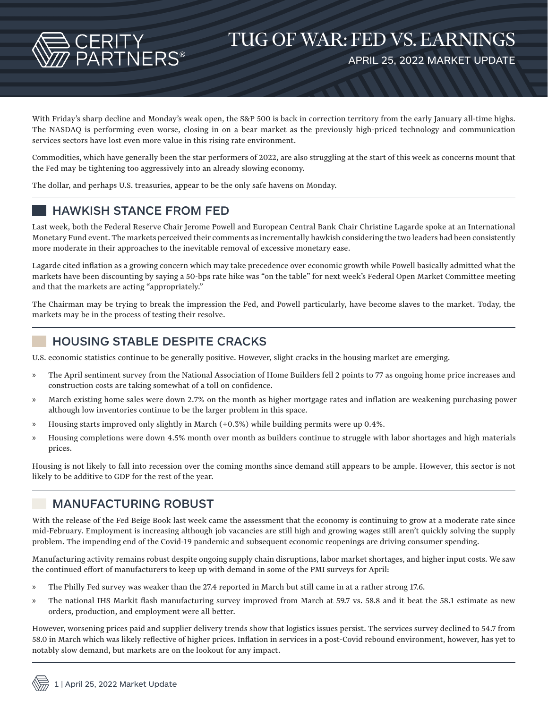

With Friday's sharp decline and Monday's weak open, the S&P 500 is back in correction territory from the early January all-time highs. The NASDAQ is performing even worse, closing in on a bear market as the previously high-priced technology and communication services sectors have lost even more value in this rising rate environment.

Commodities, which have generally been the star performers of 2022, are also struggling at the start of this week as concerns mount that the Fed may be tightening too aggressively into an already slowing economy.

The dollar, and perhaps U.S. treasuries, appear to be the only safe havens on Monday.

# HAWKISH STANCE FROM FED

Last week, both the Federal Reserve Chair Jerome Powell and European Central Bank Chair Christine Lagarde spoke at an International Monetary Fund event. The markets perceived their comments as incrementally hawkish considering the two leaders had been consistently more moderate in their approaches to the inevitable removal of excessive monetary ease.

Lagarde cited inflation as a growing concern which may take precedence over economic growth while Powell basically admitted what the markets have been discounting by saying a 50-bps rate hike was "on the table" for next week's Federal Open Market Committee meeting and that the markets are acting "appropriately."

The Chairman may be trying to break the impression the Fed, and Powell particularly, have become slaves to the market. Today, the markets may be in the process of testing their resolve.

# HOUSING STABLE DESPITE CRACKS

U.S. economic statistics continue to be generally positive. However, slight cracks in the housing market are emerging.

- » The April sentiment survey from the National Association of Home Builders fell 2 points to 77 as ongoing home price increases and construction costs are taking somewhat of a toll on confidence.
- » March existing home sales were down 2.7% on the month as higher mortgage rates and inflation are weakening purchasing power although low inventories continue to be the larger problem in this space.
- » Housing starts improved only slightly in March (+0.3%) while building permits were up 0.4%.
- » Housing completions were down 4.5% month over month as builders continue to struggle with labor shortages and high materials prices.

Housing is not likely to fall into recession over the coming months since demand still appears to be ample. However, this sector is not likely to be additive to GDP for the rest of the year.

### MANUFACTURING ROBUST

With the release of the Fed Beige Book last week came the assessment that the economy is continuing to grow at a moderate rate since mid-February. Employment is increasing although job vacancies are still high and growing wages still aren't quickly solving the supply problem. The impending end of the Covid-19 pandemic and subsequent economic reopenings are driving consumer spending.

Manufacturing activity remains robust despite ongoing supply chain disruptions, labor market shortages, and higher input costs. We saw the continued effort of manufacturers to keep up with demand in some of the PMI surveys for April:

- » The Philly Fed survey was weaker than the 27.4 reported in March but still came in at a rather strong 17.6.
- » The national IHS Markit flash manufacturing survey improved from March at 59.7 vs. 58.8 and it beat the 58.1 estimate as new orders, production, and employment were all better.

However, worsening prices paid and supplier delivery trends show that logistics issues persist. The services survey declined to 54.7 from 58.0 in March which was likely reflective of higher prices. Inflation in services in a post-Covid rebound environment, however, has yet to notably slow demand, but markets are on the lookout for any impact.